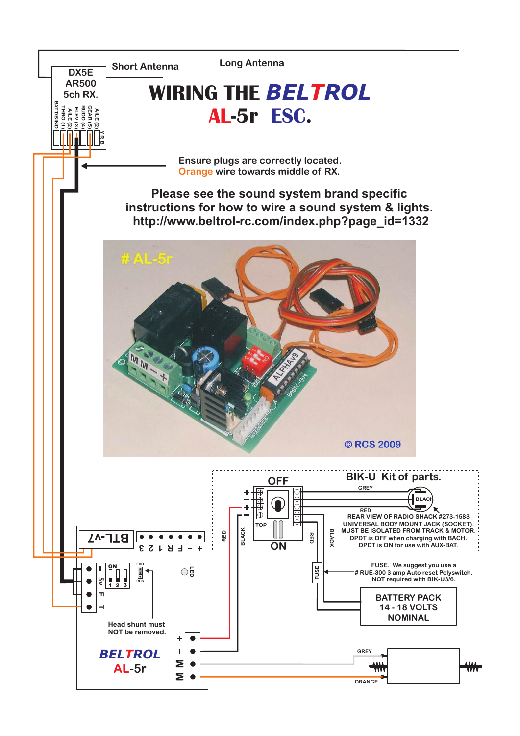